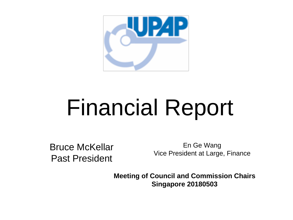

## Financial Report

Bruce McKellar Past President

En Ge Wang Vice President at Large, Finance

**Meeting of Council and Commission Chairs Singapore 20180503**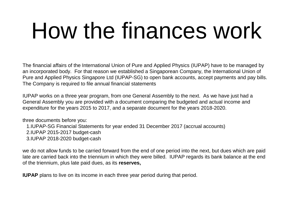# How the finances work

The financial affairs of the International Union of Pure and Applied Physics (IUPAP) have to be managed by an incorporated body. For that reason we established a Singaporean Company, the International Union of Pure and Applied Physics Singapore Ltd (IUPAP-SG) to open bank accounts, accept payments and pay bills. The Company is required to file annual financial statements

IUPAP works on a three year program, from one General Assembly to the next. As we have just had a General Assembly you are provided with a document comparing the budgeted and actual income and expenditure for the years 2015 to 2017, and a separate document for the years 2018-2020.

three documents before you:

1.IUPAP-SG Financial Statements for year ended 31 December 2017 (accrual accounts)

2.IUPAP 2015-2017 budget-cash

3.IUPAP 2018-2020 budget-cash

we do not allow funds to be carried forward from the end of one period into the next, but dues which are paid late are carried back into the triennium in which they were billed. IUPAP regards its bank balance at the end of the triennium, plus late paid dues, as its **reserves,**

**IUPAP** plans to live on its income in each three year period during that period.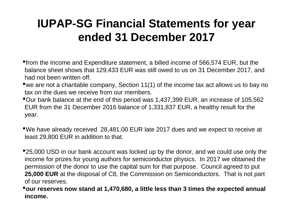#### **IUPAP-SG Financial Statements for year ended 31 December 2017**

- •from the Income and Expenditure statement, a billed income of 566,574 EUR, but the balance sheet shows that 129,433 EUR was still owed to us on 31 December 2017, and had not been written off.
- •we are not a charitable company, Section 11(1) of the income tax act allows us to bay no tax on the dues we receive from our members.
- •Our bank balance at the end of this period was 1,437,399 EUR, an increase of 105,562 EUR from the 31 December 2016 balance of 1,331,837 EUR, a healthy result for the year.
- •We have already received 28,481.00 EUR late 2017 dues and we expect to receive at least 29,800 EUR in addition to that.
- •25,000 USD in our bank account was locked up by the donor, and we could use only the income for prizes for young authors for semiconductor physics. In 2017 we obtained the permission of the donor to use the capital sum for that purpose. Council agreed to put **25,000 EUR** at the disposal of C8, the Commission on Semiconductors. That is not part of our reserves.
- •**our reserves now stand at 1,470,680, a little less than 3 times the expected annual income.**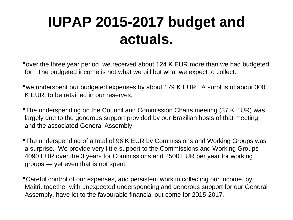### **IUPAP 2015-2017 budget and actuals.**

•over the three year period, we received about 124 K EUR more than we had budgeted for. The budgeted income is not what we bill but what we expect to collect.

•we underspent our budgeted expenses by about 179 K EUR. A surplus of about 300 K EUR, to be retained in our reserves.

•The underspending on the Council and Commission Chairs meeting (37 K EUR) was largely due to the generous support provided by our Brazilian hosts of that meeting and the associated General Assembly.

•The underspending of a total of 96 K EUR by Commissions and Working Groups was a surprise. We provide very little support to the Commissions and Working Groups — 4090 EUR over the 3 years for Commissions and 2500 EUR per year for working groups — yet even that is not spent.

•Careful control of our expenses, and persistent work in collecting our income, by Maitri, together with unexpected underspending and generous support for our General Assembly, have let to the favourable financial out come for 2015-2017.